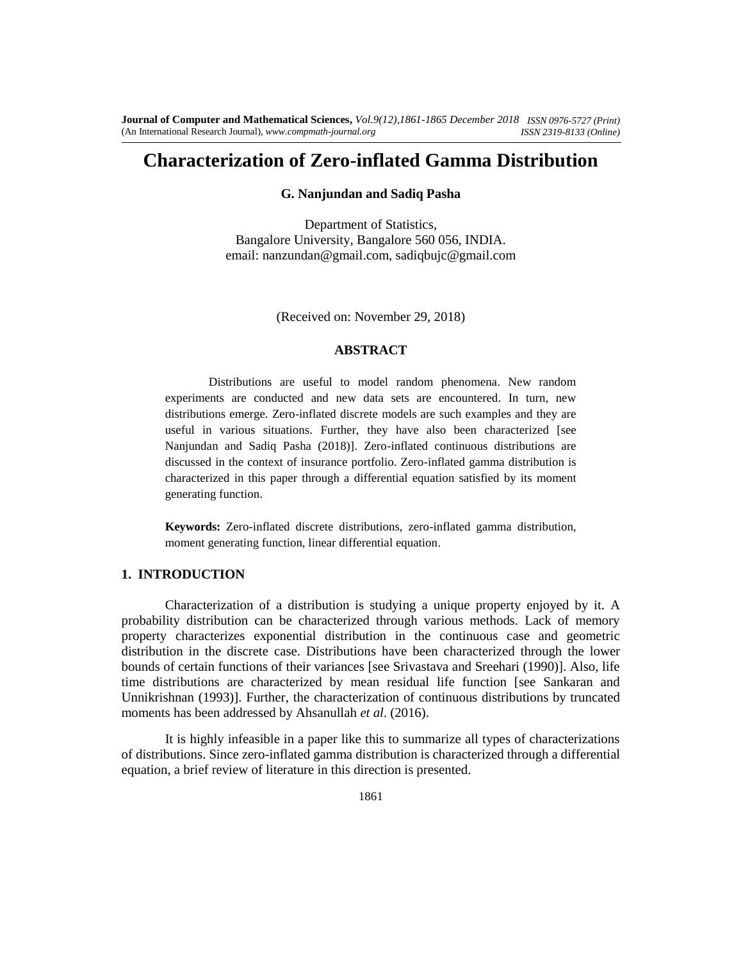# **Characterization of Zero-inflated Gamma Distribution**

## **G. Nanjundan and Sadiq Pasha**

Department of Statistics, Bangalore University, Bangalore 560 056, INDIA. email: nanzundan@gmail.com, sadiqbujc@gmail.com

(Received on: November 29, 2018)

#### **ABSTRACT**

Distributions are useful to model random phenomena. New random experiments are conducted and new data sets are encountered. In turn, new distributions emerge. Zero-inflated discrete models are such examples and they are useful in various situations. Further, they have also been characterized [see Nanjundan and Sadiq Pasha (2018)]. Zero-inflated continuous distributions are discussed in the context of insurance portfolio. Zero-inflated gamma distribution is characterized in this paper through a differential equation satisfied by its moment generating function.

**Keywords:** Zero-inflated discrete distributions, zero-inflated gamma distribution, moment generating function, linear differential equation.

## **1. INTRODUCTION**

Characterization of a distribution is studying a unique property enjoyed by it. A probability distribution can be characterized through various methods. Lack of memory property characterizes exponential distribution in the continuous case and geometric distribution in the discrete case. Distributions have been characterized through the lower bounds of certain functions of their variances [see Srivastava and Sreehari (1990)]. Also, life time distributions are characterized by mean residual life function [see Sankaran and Unnikrishnan (1993)]. Further, the characterization of continuous distributions by truncated moments has been addressed by Ahsanullah *et al*. (2016).

It is highly infeasible in a paper like this to summarize all types of characterizations of distributions. Since zero-inflated gamma distribution is characterized through a differential equation, a brief review of literature in this direction is presented.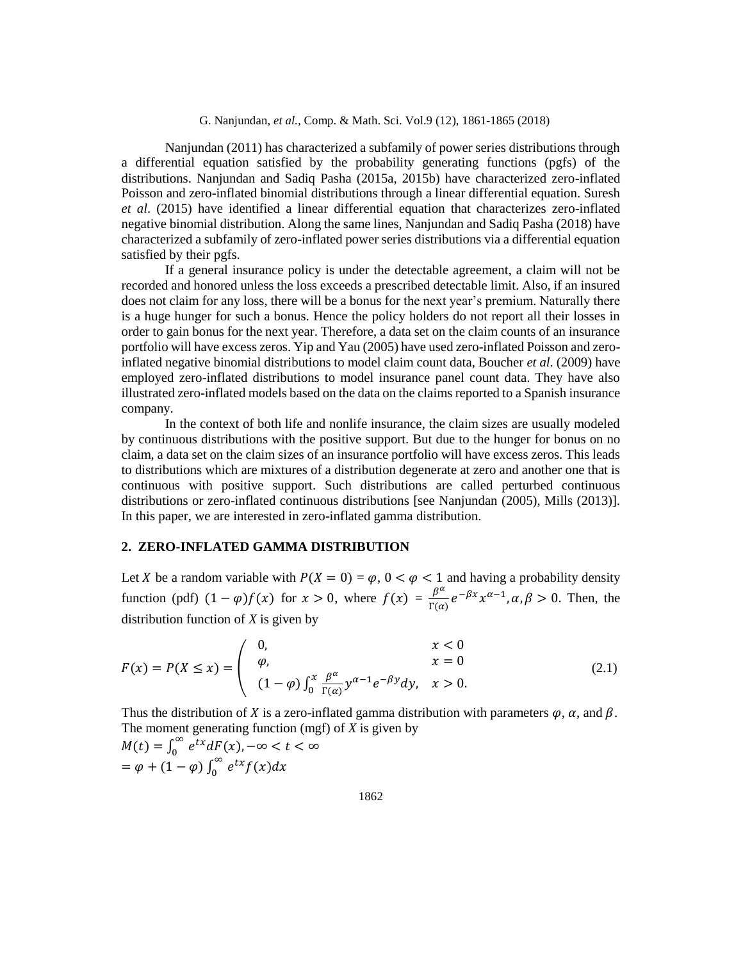Nanjundan (2011) has characterized a subfamily of power series distributions through a differential equation satisfied by the probability generating functions (pgfs) of the distributions. Nanjundan and Sadiq Pasha (2015a, 2015b) have characterized zero-inflated Poisson and zero-inflated binomial distributions through a linear differential equation. Suresh *et al*. (2015) have identified a linear differential equation that characterizes zero-inflated negative binomial distribution. Along the same lines, Nanjundan and Sadiq Pasha (2018) have characterized a subfamily of zero-inflated power series distributions via a differential equation satisfied by their pgfs.

If a general insurance policy is under the detectable agreement, a claim will not be recorded and honored unless the loss exceeds a prescribed detectable limit. Also, if an insured does not claim for any loss, there will be a bonus for the next year's premium. Naturally there is a huge hunger for such a bonus. Hence the policy holders do not report all their losses in order to gain bonus for the next year. Therefore, a data set on the claim counts of an insurance portfolio will have excess zeros. Yip and Yau (2005) have used zero-inflated Poisson and zeroinflated negative binomial distributions to model claim count data, Boucher *et al*. (2009) have employed zero-inflated distributions to model insurance panel count data. They have also illustrated zero-inflated models based on the data on the claims reported to a Spanish insurance company.

In the context of both life and nonlife insurance, the claim sizes are usually modeled by continuous distributions with the positive support. But due to the hunger for bonus on no claim, a data set on the claim sizes of an insurance portfolio will have excess zeros. This leads to distributions which are mixtures of a distribution degenerate at zero and another one that is continuous with positive support. Such distributions are called perturbed continuous distributions or zero-inflated continuous distributions [see Nanjundan (2005), Mills (2013)]. In this paper, we are interested in zero-inflated gamma distribution.

#### **2. ZERO-INFLATED GAMMA DISTRIBUTION**

Let X be a random variable with  $P(X = 0) = \varphi$ ,  $0 < \varphi < 1$  and having a probability density function (pdf)  $(1 - \varphi) f(x)$  for  $x > 0$ , where  $f(x) = \frac{\beta^{\alpha}}{E(x)}$  $\frac{\beta^{\alpha}}{\Gamma(\alpha)}e^{-\beta x}x^{\alpha-1}, \alpha, \beta > 0$ . Then, the distribution function of *X* is given by

$$
F(x) = P(X \le x) = \begin{pmatrix} 0, & x < 0 \\ \varphi, & x = 0 \\ (1 - \varphi) \int_0^x \frac{\beta^{\alpha}}{\Gamma(\alpha)} y^{\alpha - 1} e^{-\beta y} dy, & x > 0. \end{pmatrix}
$$
(2.1)

Thus the distribution of X is a zero-inflated gamma distribution with parameters  $\varphi$ ,  $\alpha$ , and  $\beta$ . The moment generating function (mgf) of *X* is given by

 $M(t) = \int_0^\infty$  $\int_0^\infty e^{tx} dF(x)$ ,  $-\infty < t < \infty$  $= \varphi + (1 - \varphi) \int_0^\infty$  $\int_0^\infty e^{tx} f(x) dx$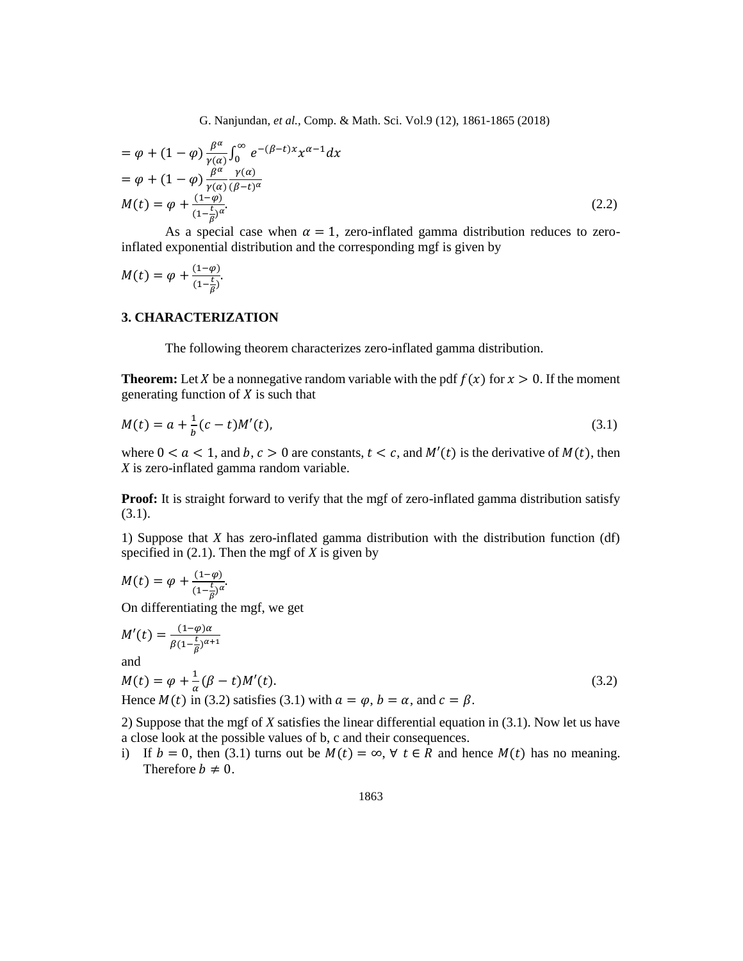$$
= \varphi + (1 - \varphi) \frac{\beta^{\alpha}}{\gamma(\alpha)} \int_0^{\infty} e^{-(\beta - t)x} x^{\alpha - 1} dx
$$
  
\n
$$
= \varphi + (1 - \varphi) \frac{\beta^{\alpha}}{\gamma(\alpha)} \frac{\gamma(\alpha)}{(\beta - t)^{\alpha}}
$$
  
\n
$$
M(t) = \varphi + \frac{(1 - \varphi)}{(1 - \frac{t}{\beta})^{\alpha}}.
$$
\n(2.2)

As a special case when  $\alpha = 1$ , zero-inflated gamma distribution reduces to zeroinflated exponential distribution and the corresponding mgf is given by

$$
M(t) = \varphi + \frac{(1-\varphi)}{(1-\frac{t}{\beta})}.
$$

#### **3. CHARACTERIZATION**

The following theorem characterizes zero-inflated gamma distribution.

**Theorem:** Let X be a nonnegative random variable with the pdf  $f(x)$  for  $x > 0$ . If the moment generating function of  $X$  is such that

$$
M(t) = a + \frac{1}{b}(c - t)M'(t),
$$
\n(3.1)

where  $0 < a < 1$ , and  $b, c > 0$  are constants,  $t < c$ , and  $M'(t)$  is the derivative of  $M(t)$ , then *X* is zero-inflated gamma random variable.

**Proof:** It is straight forward to verify that the mgf of zero-inflated gamma distribution satisfy (3.1).

1) Suppose that *X* has zero-inflated gamma distribution with the distribution function (df) specified in (2.1). Then the mgf of *X* is given by

$$
M(t) = \varphi + \frac{(1-\varphi)}{(1-\frac{t}{\beta})^{\alpha}}.
$$

On differentiating the mgf, we get

$$
M'(t) = \frac{(1-\varphi)\alpha}{\beta(1-\frac{t}{\beta})^{\alpha+1}}
$$
  
and  

$$
M(t) = \varphi + \frac{1}{\alpha}(\beta - t)M'(t).
$$
  
Hence  $M(t)$  in (3.2) satisfies (3.1) with  $a = \varphi, b = \alpha$ , and  $c = \beta$ . (3.2)

2) Suppose that the mgf of *X* satisfies the linear differential equation in (3.1). Now let us have a close look at the possible values of b, c and their consequences.

i) If  $b = 0$ , then (3.1) turns out be  $M(t) = \infty$ ,  $\forall t \in R$  and hence  $M(t)$  has no meaning. Therefore  $b \neq 0$ .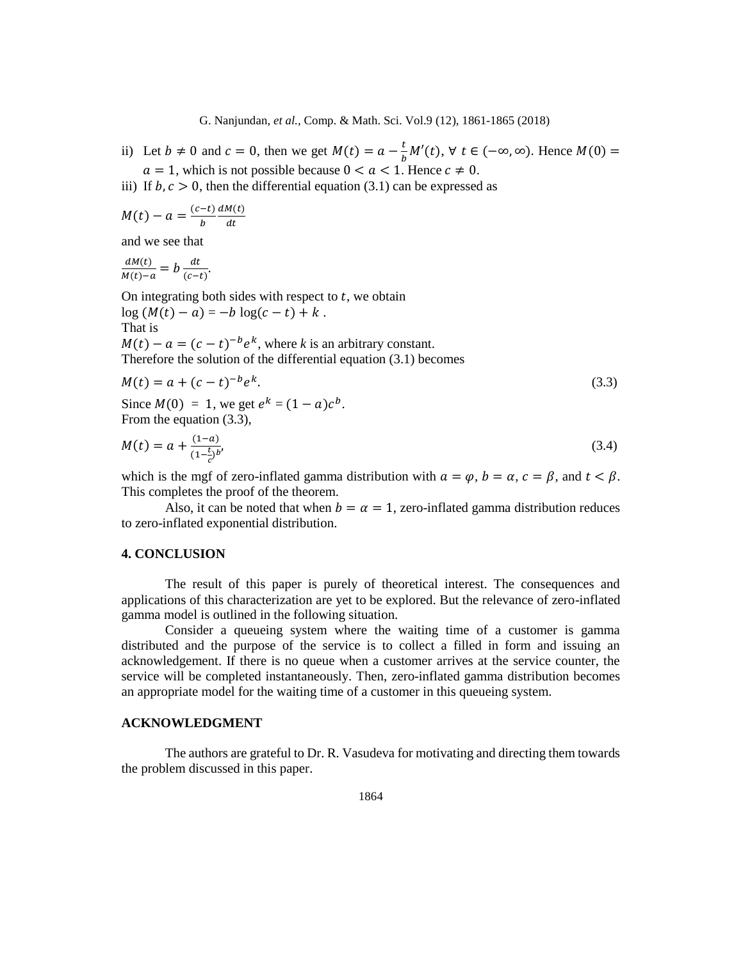- ii) Let  $b \neq 0$  and  $c = 0$ , then we get  $M(t) = a \frac{t}{b}$  $\frac{c}{b}M'(t)$ , ∀  $t \in (-\infty, \infty)$ . Hence  $M(0) =$  $a = 1$ , which is not possible because  $0 < a < 1$ . Hence  $c \neq 0$ .
- iii) If  $b, c > 0$ , then the differential equation (3.1) can be expressed as

$$
M(t) - a = \frac{(c-t)}{b} \frac{dM(t)}{dt}
$$

and we see that

$$
\frac{dM(t)}{M(t)-a} = b \frac{dt}{(c-t)}.
$$

On integrating both sides with respect to  $t$ , we obtain  $log(M(t) - a) = -b log(c - t) + k$ . That is  $M(t) - a = (c - t)^{-b} e^{k}$ , where *k* is an arbitrary constant.

Therefore the solution of the differential equation (3.1) becomes

$$
M(t) = a + (c - t)^{-b} e^{k}.
$$
\n(3.3)

Since  $M(0) = 1$ , we get  $e^{k} = (1 - a)c^{b}$ . From the equation (3.3),

$$
M(t) = a + \frac{(1-a)}{(1-\frac{t}{c})^b},\tag{3.4}
$$

which is the mgf of zero-inflated gamma distribution with  $a = \varphi$ ,  $b = \alpha$ ,  $c = \beta$ , and  $t < \beta$ . This completes the proof of the theorem.

Also, it can be noted that when  $b = \alpha = 1$ , zero-inflated gamma distribution reduces to zero-inflated exponential distribution.

## **4. CONCLUSION**

 The result of this paper is purely of theoretical interest. The consequences and applications of this characterization are yet to be explored. But the relevance of zero-inflated gamma model is outlined in the following situation.

Consider a queueing system where the waiting time of a customer is gamma distributed and the purpose of the service is to collect a filled in form and issuing an acknowledgement. If there is no queue when a customer arrives at the service counter, the service will be completed instantaneously. Then, zero-inflated gamma distribution becomes an appropriate model for the waiting time of a customer in this queueing system.

## **ACKNOWLEDGMENT**

The authors are grateful to Dr. R. Vasudeva for motivating and directing them towards the problem discussed in this paper.